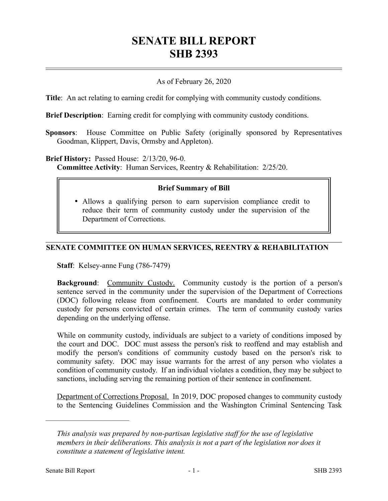# **SENATE BILL REPORT SHB 2393**

## As of February 26, 2020

**Title**: An act relating to earning credit for complying with community custody conditions.

**Brief Description**: Earning credit for complying with community custody conditions.

**Sponsors**: House Committee on Public Safety (originally sponsored by Representatives Goodman, Klippert, Davis, Ormsby and Appleton).

#### **Brief History:** Passed House: 2/13/20, 96-0.

**Committee Activity**: Human Services, Reentry & Rehabilitation: 2/25/20.

#### **Brief Summary of Bill**

 Allows a qualifying person to earn supervision compliance credit to reduce their term of community custody under the supervision of the Department of Corrections.

### **SENATE COMMITTEE ON HUMAN SERVICES, REENTRY & REHABILITATION**

**Staff**: Kelsey-anne Fung (786-7479)

**Background:** Community Custody. Community custody is the portion of a person's sentence served in the community under the supervision of the Department of Corrections (DOC) following release from confinement. Courts are mandated to order community custody for persons convicted of certain crimes. The term of community custody varies depending on the underlying offense.

While on community custody, individuals are subject to a variety of conditions imposed by the court and DOC. DOC must assess the person's risk to reoffend and may establish and modify the person's conditions of community custody based on the person's risk to community safety. DOC may issue warrants for the arrest of any person who violates a condition of community custody. If an individual violates a condition, they may be subject to sanctions, including serving the remaining portion of their sentence in confinement.

Department of Corrections Proposal. In 2019, DOC proposed changes to community custody to the Sentencing Guidelines Commission and the Washington Criminal Sentencing Task

––––––––––––––––––––––

*This analysis was prepared by non-partisan legislative staff for the use of legislative members in their deliberations. This analysis is not a part of the legislation nor does it constitute a statement of legislative intent.*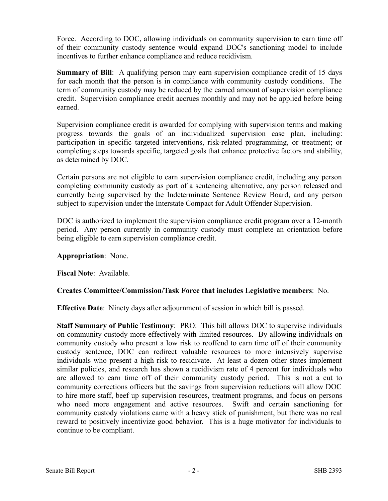Force. According to DOC, allowing individuals on community supervision to earn time off of their community custody sentence would expand DOC's sanctioning model to include incentives to further enhance compliance and reduce recidivism.

**Summary of Bill**: A qualifying person may earn supervision compliance credit of 15 days for each month that the person is in compliance with community custody conditions. The term of community custody may be reduced by the earned amount of supervision compliance credit. Supervision compliance credit accrues monthly and may not be applied before being earned.

Supervision compliance credit is awarded for complying with supervision terms and making progress towards the goals of an individualized supervision case plan, including: participation in specific targeted interventions, risk-related programming, or treatment; or completing steps towards specific, targeted goals that enhance protective factors and stability, as determined by DOC.

Certain persons are not eligible to earn supervision compliance credit, including any person completing community custody as part of a sentencing alternative, any person released and currently being supervised by the Indeterminate Sentence Review Board, and any person subject to supervision under the Interstate Compact for Adult Offender Supervision.

DOC is authorized to implement the supervision compliance credit program over a 12-month period. Any person currently in community custody must complete an orientation before being eligible to earn supervision compliance credit.

# **Appropriation**: None.

**Fiscal Note**: Available.

# **Creates Committee/Commission/Task Force that includes Legislative members**: No.

**Effective Date**: Ninety days after adjournment of session in which bill is passed.

**Staff Summary of Public Testimony**: PRO: This bill allows DOC to supervise individuals on community custody more effectively with limited resources. By allowing individuals on community custody who present a low risk to reoffend to earn time off of their community custody sentence, DOC can redirect valuable resources to more intensively supervise individuals who present a high risk to recidivate. At least a dozen other states implement similar policies, and research has shown a recidivism rate of 4 percent for individuals who are allowed to earn time off of their community custody period. This is not a cut to community corrections officers but the savings from supervision reductions will allow DOC to hire more staff, beef up supervision resources, treatment programs, and focus on persons who need more engagement and active resources. Swift and certain sanctioning for community custody violations came with a heavy stick of punishment, but there was no real reward to positively incentivize good behavior. This is a huge motivator for individuals to continue to be compliant.